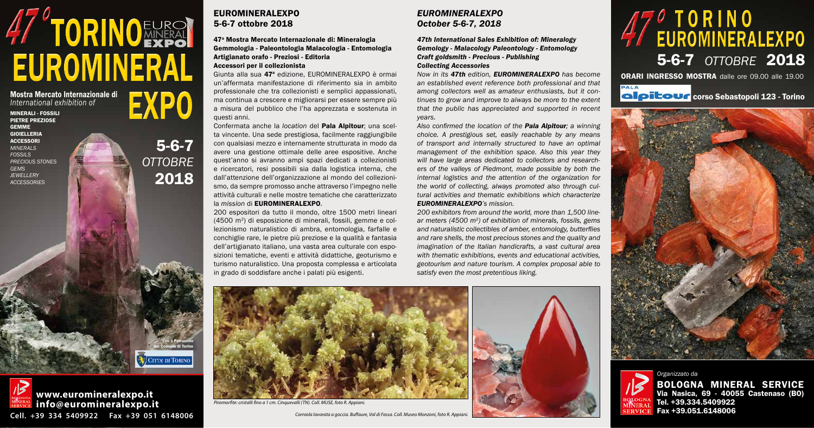MINERALI - FOSSILI PIETRE PREZIOSE GEMME GIOIELLERIA **ACCESSORI** *MINERALS FOSSILS PRECIOUS STONES GEMS JEWELLERY ACCESSORIES*

## 5-6-7 *OTTOBRE* 2018 47<sup>0</sup> TORINO<br>47 EUROMINERALEXPO



coloritour corso Sebastopoli 123 - Torino





# EUROMINERAL Artigianato orafo - Preziosi - Editoria<br>
Accessori per il collezionista<br>
Giunta alla sua 47ª edizione, EUROMINERALEXPO è ormai Now in its 47th edition, EUROMINERALEXPO has become orani ORARI INGRESSO MOSTRA dal **47 TORINOEUROL**

Mostra Mercato Internazionale di *International exhibition of*

5-6-7

*OTTOBRE*

2018

#### EUROMINERALEXPO 5-6-7 ottobre 2018

#### 47a Mostra Mercato Internazionale di: Mineralogia Gemmologia - Paleontologia Malacologia - Entomologia Artigianato orafo - Preziosi - Editoria Accessori per il collezionista

Giunta alla sua 47<sup>ª</sup> edizione, EUROMINERALEXPO è ormai un'affermata manifestazione di riferimento sia in ambito professionale che tra collezionisti e semplici appassionati, ma continua a crescere e migliorarsi per essere sempre più a misura del pubblico che l'ha apprezzata e sostenuta in questi anni.

Confermata anche la *location* del Pala Alpitour; una scelta vincente. Una sede prestigiosa, facilmente raggiungibile con qualsiasi mezzo e internamente strutturata in modo da avere una gestione ottimale delle aree espositive. Anche quest'anno si avranno ampi spazi dedicati a collezionisti e ricercatori, resi possibili sia dalla logistica interna, che dall'attenzione dell'organizzazione al mondo del collezionismo, da sempre promosso anche attraverso l'impegno nelle attività culturali e nelle mostre tematiche che caratterizzato la *mission* di EUROMINERALEXPO.

200 espositori da tutto il mondo, oltre 1500 metri lineari (4500 m2) di esposizione di minerali, fossili, gemme e collezionismo naturalistico di ambra, entomologia, farfalle e conchiglie rare, le pietre più preziose e la qualità e fantasia dell'artigianato italiano, una vasta area culturale con esposizioni tematiche, eventi e attività didattiche, geoturismo e turismo naturalistico. Una proposta complessa e articolata in grado di soddisfare anche i palati più esigenti.

#### *EUROMINERALEXPO October 5-6-7, 2018*

*47th International Sales Exhibition of: Mineralogy Gemology - Malacology Paleontology - Entomology Craft goldsmith - Precious - Publishing Collecting Accessories*

con il Patrocinio del Comune di Torino**CITTA DI TORINO** 

*Now in its 47th edition, Euromineralexpo has become an established event reference both professional and that among collectors well as amateur enthusiasts, but it continues to grow and improve to always be more to the extent that the public has appreciated and supported in recent years.*

*Also confirmed the location of the Pala Alpitour; a winning choice. A prestigious set, easily reachable by any means of transport and internally structured to have an optimal management of the exhibition space. Also this year they will have large areas dedicated to collectors and researchers of the valleys of Piedmont, made possible by both the internal logistics and the attention of the organization for the world of collecting, always promoted also through cultural activities and thematic exhibitions which characterize EUROMINERALEXPO's mission.*

*200 exhibitors from around the world, more than 1,500 linear meters (4500 m2) of exhibition of minerals, fossils, gems and naturalistic collectibles of amber, entomology, butterflies and rare shells, the most precious stones and the quality and imagination of the Italian handicrafts, a vast cultural area with thematic exhibitions, events and educational activities, geotourism and nature tourism. A complex proposal able to satisfy even the most pretentious liking.*



*Piromorfite: cristalli fino a 1 cm. Cinquevalli (TN). Coll. MUSE, foto R. Appiani.* 

*Corniola lavorata a goccia. Buffaure, Val di Fassa. Coll. Museo Monzoni, foto R. Appiani.* 





*Organizzato da* BOLOGNA MINERAL SERVICE Via Nasica, 69 - 40055 Castenaso (BO) Tel. +39.334.5409922 Fax +39.051.6148006

Cerussite. Touissit, Oujda, Marocco. *Coll. privata, foto Roberto Appiani.* EXPO



**Cell. +39 334 5409922 Fax +39 051 6148006**